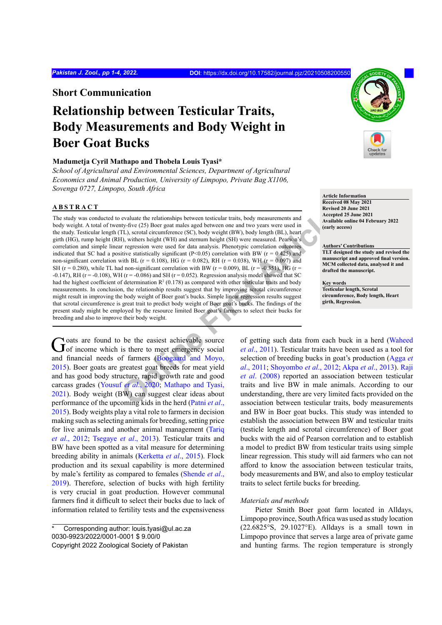**Short Communication**

# **Relationship between Testicular Traits, Body Measurements and Body Weight in Boer Goat Bucks**

### **Madumetja Cyril Mathapo and Thobela Louis Tyasi\***

*School of Agricultural and Environmental Sciences, Department of Agricultural Economics and Animal Production, University of Limpopo, Private Bag X1106, Sovenga 0727, Limpopo, South Africa*

## **ABSTRACT**

**Example 11** evaluate the relationships between testicular traits, body measurements and<br> **ON** Axial between the control of the control of the same of the state<br> **[On](#page-3-0)ly weight** (BH), between the control of the state of the The study was conducted to evaluate the relationships between testicular traits, body measurements and body weight. A total of twenty-five (25) Boer goat males aged between one and two years were used in the study. Testicular length (TL), scrotal circumference (SC), body weight (BW), body length (BL), heart girth (HG), rump height (RH), withers height (WH) and sternum height (SH) were measured. Pearson's correlation and simple linear regression were used for data analysis. Phenotypic correlation outcomes indicated that SC had a positive statistically significant (P<0.05) correlation with BW ( $r = 0.425$ ) and non-significant correlation with BL ( $r = 0.108$ ), HG ( $r = 0.082$ ), RH ( $r = 0.038$ ), WH ( $r = 0.097$ ) and SH ( $r = 0.280$ ), while TL had non-significant correlation with BW ( $r = 0.009$ ), BL ( $r = -0.351$ ), HG ( $r =$  $-0.147$ ), RH (r =  $-0.108$ ), WH (r =  $-0.086$ ) and SH (r = 0.052). Regression analysis model showed that SC had the highest coefficient of determination  $R^2$  (0.178) as compared with other testicular traits and body measurements. In conclusion, the relationship results suggest that by improving scrotal circumference might result in improving the body weight of Boer goat's bucks. Simple linear regression results suggest that scrotal circumference is great trait to predict body weight of Boer goat's bucks. The findings of the present study might be employed by the resource limited Boer goat's farmers to select their bucks for breeding and also to improve their body weight.

Goats are found to be the easiest achievable source of of income which is there to meet emergency social and financial needs of farmers (Boogaard and Moyo, [2015\)](#page-2-0). Boer goats are greatest goat breeds for meat yield and has good body structure, rapid growth rate and good carcass grades (Yousuf *et al*., 2020; Mathapo and Tyasi, [2021\)](#page-3-1). Body weight (BW) can suggest clear ideas about performance of the upcoming kids in the herd (Patni *et al*., [2015\)](#page-3-2). Body weights play a vital role to farmers in decision making such as selecting animals for breeding, setting price for live animals and another animal management ([Tariq](#page-3-3) *et al*[., 2012](#page-3-3); [Tsegaye](#page-3-4) *et al*., 2013). Testicular traits and BW have been spotted as a vital measure for determining breeding ability in animals ([Kerketta](#page-3-5) *et al*., 2015). Flock production and its sexual capability is more determined by male's fertility as compared to females ([Shende](#page-3-6) *et al*., [2019\)](#page-3-6). Therefore, selection of bucks with high fertility is very crucial in goat production. However communal farmers find it difficult to select their bucks due to lack of information related to fertility tests and the expensiveness



#### *Materials and methods*

Pieter Smith Boer goat farm located in Alldays, Limpopo province, South Africa was used as study location (22.6825°S, 29.1027°E). Alldays is a small town in Limpopo province that serves a large area of private game and hunting farms. The region temperature is strongly



#### **Authors' Contributions**

**TLT designed the study and revised the manuscript and approved final version. MCM collected data, analysed it and drafted the manuscript.**

**Key words Testicular length, Scrotal circumference, Body length, Heart girth, Regression.**

Corresponding author: louis.tyasi@ul.ac.za 0030-9923/2022/0001-0001 \$ 9.00/0 Copyright 2022 Zoological Society of Pakistan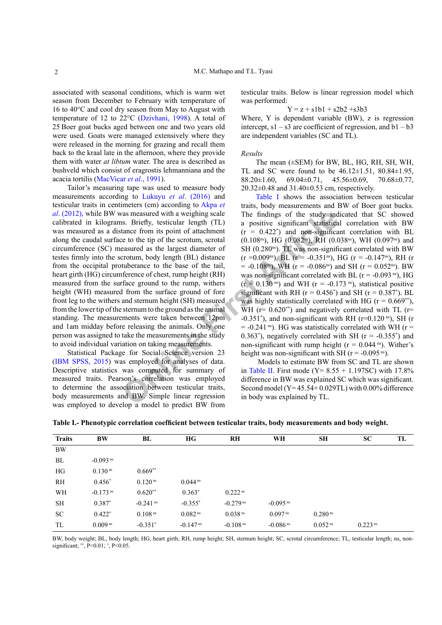associated with seasonal conditions, which is warm wet season from December to February with temperature of 16 to 40°C and cool dry season from May to August with temperature of 12 to 22°C [\(Dzivhani, 1998\)](#page-2-3). A total of 25 Boer goat bucks aged between one and two years old were used. Goats were managed extensively where they were released in the morning for grazing and recall them back to the kraal late in the afternoon, where they provide them with water *at libtum* water. The area is described as bushveld which consist of eragrostis lehmanniana and the acacia tortilis [\(MacVicar](#page-3-1) *et al*., 1991).

Tailor's measuring tape was used to measure body measurements according to Lukuyu *et al*[. \(2016\)](#page-3-10) and testicular traits in centimeters (cm) according to [Akpa](#page-2-4) *et al*[. \(2012\), w](#page-2-4)hile BW was measured with a weighing scale calibrated in kilograms. Briefly, testicular length (TL) was measured as a distance from its point of attachment along the caudal surface to the tip of the scrotum, scrotal circumference (SC) measured as the largest diameter of testes firmly into the scrotum, body length (BL) distance from the occipital protuberance to the base of the tail, heart girth (HG) circumference of chest, rump height (RH) measured from the surface ground to the rump, withers height (WH) measured from the surface ground of fore front leg to the withers and sternum height (SH) measured from the lower tip of the sternum to the ground as the animal standing. The measurements were taken between 12pm and 1am midday before releasing the animals. Only one person was assigned to take the measurements in the study to avoid individual variation on taking measurements.

Statistical Package for Social Science version 23 [\(IBM SPSS, 2015](#page-3-11)) was employed for analyses of data. Descriptive statistics was computed for summary of measured traits. Pearson's correlation was employed to determine the association between testicular traits, body measurements and BW. Simple linear regression was employed to develop a model to predict BW from testicular traits. Below is linear regression model which was performed:

$$
Y = z + s1b1 + s2b2 + s3b3
$$

Where, Y is dependent variable (BW), z is regression intercept,  $s1 - s3$  are coefficient of regression, and  $b1 - b3$ are independent variables (SC and TL).

#### *Results*

The mean (±SEM) for BW, BL, HG, RH, SH, WH, TL and SC were found to be  $46.12 \pm 1.51$ ,  $80.84 \pm 1.95$ , 88.20 $\pm$ 1.60, 69.04 $\pm$ 0.71, 45.56 $\pm$ 0.69, 70.68 $\pm$ 0.77, 20.32±0.48 and 31.40±0.53 cm, respectively.

as measured with a weighing scale<br>
In findings of the study ind<br>
tanee from its point of attachment<br>
to a positive significant statistical<br>
the ce form its point of attachment<br>
(0.108<sup>m</sup>), HG (0.082<sup>m</sup>), RH (0.0<br>
easured [Table I](#page-1-0) shows the association between testicular traits, body measurements and BW of Boer goat bucks. The findings of the study indicated that SC showed a positive significant statistical correlation with BW  $(r = 0.422^*)$  and non-significant correlation with BL  $(0.108<sup>ns</sup>)$ , HG  $(0.082<sup>ns</sup>)$ , RH  $(0.038<sup>ns</sup>)$ , WH  $(0.097<sup>ns</sup>)$  and SH (0.280<sup>ns</sup>). TL was non-significant correlated with BW  $(r = 0.009<sup>ns</sup>)$ , BL  $(r = -0.351<sup>ns</sup>)$ , HG  $(r = -0.147<sup>ns</sup>)$ , RH  $(r = 0.009<sup>ns</sup>)$  $= -0.108$ <sup>ns</sup>), WH (r = -0.086<sup>ns</sup>) and SH (r = 0.052<sup>ns</sup>). BW was non-significant correlated with BL  $(r = -0.093 \text{ ns})$ , HG  $(r = 0.130 \text{ m})$  and WH  $(r = -0.173 \text{ m})$ , statistical positive significant with RH ( $r = 0.456^{\circ}$ ) and SH ( $r = 0.387^{\circ}$ ). BL was highly statistically correlated with HG ( $r = 0.669$ <sup>\*\*</sup>), WH ( $r= 0.620^{**}$ ) and negatively correlated with TL ( $r=$  $-0.351^*$ ), and non-significant with RH (r=0.120<sup>ns</sup>), SH (r  $=$  -0.241 ns). HG was statistically correlated with WH (r  $=$ 0.363<sup>\*</sup>), negatively correlated with SH  $(r = -0.355^*)$  and non-significant with rump height ( $r = 0.044$ <sup>ns</sup>). Wither's height was non-significant with SH ( $r = -0.095$ <sup>ns</sup>).

 Models to estimate BW from SC and TL are shown in Table II. First mode ( $Y = 8.55 + 1.197$ SC) with 17.8% difference in BW was explained SC which was significant. Second model  $(Y=45.54+0.029TL)$  with 0.00% difference in body was explained by TL.

| <b>Traits</b> | BW                     | BL                     | HG                     | RH                     | WH                     | SН                  | <b>SC</b>             | TL |
|---------------|------------------------|------------------------|------------------------|------------------------|------------------------|---------------------|-----------------------|----|
| <b>BW</b>     |                        |                        |                        |                        |                        |                     |                       |    |
| BL            | $-0.093$ <sup>ns</sup> |                        |                        |                        |                        |                     |                       |    |
| HG            | $0.130$ <sup>ns</sup>  | $0.669**$              |                        |                        |                        |                     |                       |    |
| RH            | $0.456*$               | $0.120$ <sup>ns</sup>  | $0.044$ <sup>ns</sup>  |                        |                        |                     |                       |    |
| WH            | $-0.173$ <sup>ns</sup> | $0.620**$              | $0.363*$               | 0.222 <sup>ns</sup>    |                        |                     |                       |    |
| <b>SH</b>     | $0.387*$               | $-0.241$ <sup>ns</sup> | $-0.355*$              | $-0.279$ <sup>ns</sup> | $-0.095$ <sup>ns</sup> |                     |                       |    |
| <b>SC</b>     | $0.422*$               | 0.108 <sup>ns</sup>    | 0.082 <sup>ns</sup>    | 0.038 <sup>ns</sup>    | $0.097$ <sup>ns</sup>  | 0.280 <sup>ns</sup> |                       |    |
| TL            | 0.009 <sup>ns</sup>    | $-0.351*$              | $-0.147$ <sup>ns</sup> | $-0.108$ <sup>ns</sup> | $-0.086$ <sup>ns</sup> | 0.052 <sup>ns</sup> | $0.223$ <sup>ns</sup> |    |

<span id="page-1-0"></span>**Table I.- Phenotypic correlation coefficient between testicular traits, body measurements and body weight.**

BW, body weight; BL, body length; HG, heart girth; RH, rump height; SH, sternum height; SC, scrotal circumference; TL, testicular length; ns, nonsignificant; \*\*, P<0.01; \* , P<0.05.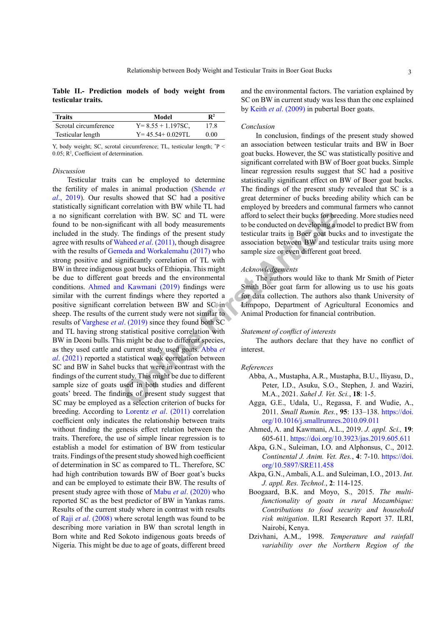<span id="page-2-5"></span>**Table II.- Prediction models of body weight from testicular traits.**

| <b>Traits</b>         | Model                  | $\mathbf{R}^2$ |
|-----------------------|------------------------|----------------|
| Scrotal circumference | $Y = 8.55 + 1.197$ SC, | 17.8           |
| Testicular length     | $Y = 45.54 + 0.029$ TL | 0.00           |

Y, body weight; SC, scrotal circumference; TL, testicular length; \* P <  $0.05$ ;  $\mathbb{R}^2$ , Coefficient of determination.

#### *Discussion*

ation with BW. SC and TL w[e](#page-2-7)re afford to select their bucks for bre<br>
From twith all body measurements to be conducted on developing a<br>
anheed *et al.* (2011), though disagree<br>
and Morkalemahu (2019) was sociation between BW Testicular traits can be employed to determine the fertility of males in animal production [\(Shende](#page-3-6) *et al*[., 2019](#page-3-6)). Our results showed that SC had a positive statistically significant correlation with BW while TL had a no significant correlation with BW. SC and TL were found to be non-significant with all body measurements included in the study. The findings of the present study agree with results of Waheed *et al*. (2011), though disagree with the results of Gemeda and Workalemahu (2017) who strong positive and significantly correlation of TL with BW in three indigenous goat bucks of Ethiopia. This might be due to different goat breeds and the environmental conditions. [Ahmed and Kawmani \(2019\) fi](#page-2-6)ndings were similar with the current findings where they reported a positive significant correlation between BW and SC in sheep. The results of the current study were not similar to results of Varghese *et al*. (2019) since they found both SC and TL having strong statistical positive correlation with BW in Deoni bulls. This might be due to different species, as they used cattle and current study used goats. Abba *et al*[. \(2021\)](#page-2-7) reported a statistical weak correlation between SC and BW in Sahel bucks that were in contrast with the findings of the current study. This might be due to different sample size of goats used in both studies and different goats' breed. The findings of present study suggest that SC may be employed as a selection criterion of bucks for breeding. According to [Lorentz](#page-3-14) *et al*. (2011) correlation coefficient only indicates the relationship between traits without finding the genesis effect relation between the traits. Therefore, the use of simple linear regression is to establish a model for estimation of BW from testicular traits. Findings of the present study showed high coefficient of determination in SC as compared to TL. Therefore, SC had high contribution towards BW of Boer goat's bucks and can be employed to estimate their BW. The results of present study agree with those of Mabu *et al*[. \(2020\)](#page-3-15) who reported SC as the best predictor of BW in Yankas rams. Results of the current study where in contrast with results of Raji *et al*[. \(2008\)](#page-3-9) where scrotal length was found to be describing more variation in BW than scrotal length in Born white and Red Sokoto indigenous goats breeds of Nigeria. This might be due to age of goats, different breed

and the environmental factors. The variation explained by SC on BW in current study was less than the one explained by Keith *et al*[. \(2009\)](#page-3-16) in pubertal Boer goats.

#### *Conclusion*

In conclusion, findings of the present study showed an association between testicular traits and BW in Boer goat bucks. However, the SC was statistically positive and significant correlated with BW of Boer goat bucks. Simple linear regression results suggest that SC had a positive statistically significant effect on BW of Boer goat bucks. The findings of the present study revealed that SC is a great determiner of bucks breeding ability which can be employed by breeders and communal farmers who cannot afford to select their bucks for breeding. More studies need to be conducted on developing a model to predict BW from testicular traits in Boer goat bucks and to investigate the association between BW and testicular traits using more sample size or even different goat breed.

#### *Acknowledgements*

The authors would like to thank Mr Smith of Pieter Smith Boer goat farm for allowing us to use his goats for data collection. The authors also thank University of Limpopo, Department of Agricultural Economics and Animal Production for financial contribution.

#### *Statement of conflict of interests*

The authors declare that they have no conflict of interest.

#### *References*

- <span id="page-2-7"></span>Abba, A., Mustapha, A.R., Mustapha, B.U., Iliyasu, D., Peter, I.D., Asuku, S.O., Stephen, J. and Waziri, M.A., 2021. *Sahel J. Vet. Sci.*, **18**: 1-5.
- <span id="page-2-1"></span>Agga, G.E., Udala, U., Regassa, F. and Wudie, A., 2011. *Small Rumin. Res.*, **95**: 133–138. [https://doi.](https://doi.org/10.1016/j.smallrumres.2010.09.011) [org/10.1016/j.smallrumres.2010.09.011](https://doi.org/10.1016/j.smallrumres.2010.09.011)
- <span id="page-2-6"></span>Ahmed, A. and Kawmani, A.L., 2019. *J. appl. Sci.,* **19**: 605-611.<https://doi.org/10.3923/jas.2019.605.611>
- <span id="page-2-4"></span>Akpa, G.N., Suleiman, I.O. and Alphonsus, C., 2012. *Continental J. Anim. Vet. Res.*, **4**: 7-10. [https://doi.](https://doi.org/10.5897/SRE11.458) [org/10.5897/SRE11.458](https://doi.org/10.5897/SRE11.458)
- <span id="page-2-2"></span>Akpa, G.N., Ambali, A.L. and Suleiman, I.O., 2013. *Int. J. appl. Res. Technol.*, **2**: 114-125.
- <span id="page-2-0"></span>Boogaard, B.K. and Moyo, S., 2015. *The multifunctionality of goats in rural Mozambique: Contributions to food security and household risk mitigation*. ILRI Research Report 37. ILRI, Nairobi, Kenya.
- <span id="page-2-3"></span>Dzivhani, A.M., 1998. *Temperature and rainfall variability over the Northern Region of the*